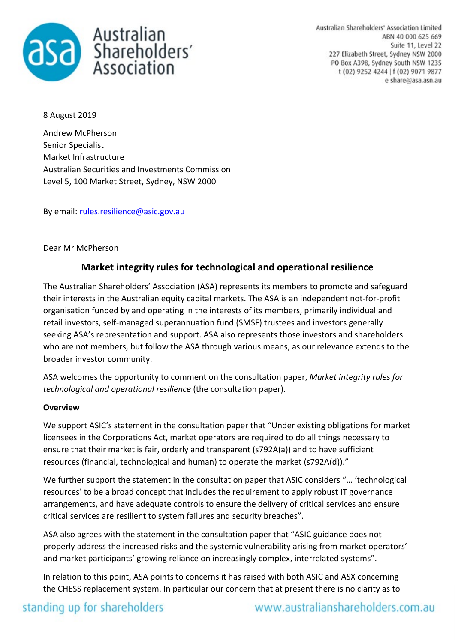

Australian Shareholders' Association Limited ABN 40 000 625 669 Suite 11, Level 22 227 Elizabeth Street, Sydney NSW 2000 PO Box A398, Sydney South NSW 1235 t (02) 9252 4244 | f (02) 9071 9877 e share@asa.asn.au

8 August 2019

Andrew McPherson Senior Specialist Market Infrastructure Australian Securities and Investments Commission Level 5, 100 Market Street, Sydney, NSW 2000

By email: [rules.resilience@asic.gov.au](mailto:rules.resilience@asic.gov.au)

### Dear Mr McPherson

### **Market integrity rules for technological and operational resilience**

The Australian Shareholders' Association (ASA) represents its members to promote and safeguard their interests in the Australian equity capital markets. The ASA is an independent not-for-profit organisation funded by and operating in the interests of its members, primarily individual and retail investors, self-managed superannuation fund (SMSF) trustees and investors generally seeking ASA's representation and support. ASA also represents those investors and shareholders who are not members, but follow the ASA through various means, as our relevance extends to the broader investor community.

ASA welcomes the opportunity to comment on the consultation paper, *Market integrity rules for technological and operational resilience* (the consultation paper).

#### **Overview**

We support ASIC's statement in the consultation paper that "Under existing obligations for market licensees in the Corporations Act, market operators are required to do all things necessary to ensure that their market is fair, orderly and transparent (s792A(a)) and to have sufficient resources (financial, technological and human) to operate the market (s792A(d))."

We further support the statement in the consultation paper that ASIC considers "… 'technological resources' to be a broad concept that includes the requirement to apply robust IT governance arrangements, and have adequate controls to ensure the delivery of critical services and ensure critical services are resilient to system failures and security breaches".

ASA also agrees with the statement in the consultation paper that "ASIC guidance does not properly address the increased risks and the systemic vulnerability arising from market operators' and market participants' growing reliance on increasingly complex, interrelated systems".

In relation to this point, ASA points to concerns it has raised with both ASIC and ASX concerning the CHESS replacement system. In particular our concern that at present there is no clarity as to

## standing up for shareholders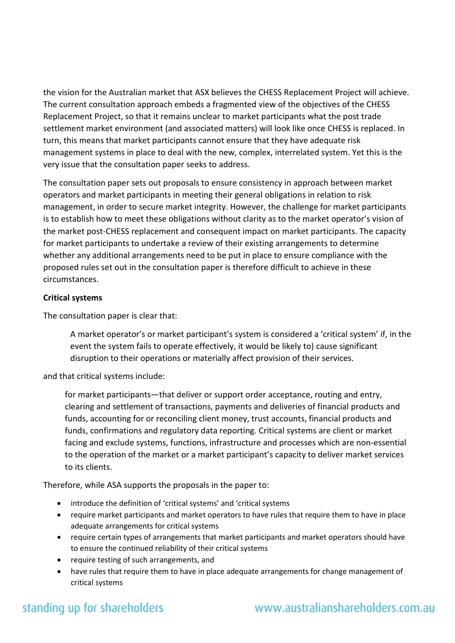the vision for the Australian market that ASX believes the CHESS Replacement Project will achieve. The current consultation approach embeds a fragmented view of the objectives of the CHESS Replacement Project, so that it remains unclear to market participants what the post trade settlement market environment (and associated matters) will look like once CHESS is replaced. In turn, this means that market participants cannot ensure that they have adequate risk management systems in place to deal with the new, complex, interrelated system. Yet this is the very issue that the consultation paper seeks to address.

The consultation paper sets out proposals to ensure consistency in approach between market operators and market participants in meeting their general obligations in relation to risk management, in order to secure market integrity. However, the challenge for market participants is to establish how to meet these obligations without clarity as to the market operator's vision of the market post-CHESS replacement and consequent impact on market participants. The capacity for market participants to undertake a review of their existing arrangements to determine whether any additional arrangements need to be put in place to ensure compliance with the proposed rules set out in the consultation paper is therefore difficult to achieve in these circumstances.

### **Critical systems**

The consultation paper is clear that:

A market operator's or market participant's system is considered a 'critical system' if, in the event the system fails to operate effectively, it would be likely to) cause significant disruption to their operations or materially affect provision of their services.

and that critical systems include:

for market participants—that deliver or support order acceptance, routing and entry, clearing and settlement of transactions, payments and deliveries of financial products and funds, accounting for or reconciling client money, trust accounts, financial products and funds, confirmations and regulatory data reporting. Critical systems are client or market facing and exclude systems, functions, infrastructure and processes which are non-essential to the operation of the market or a market participant's capacity to deliver market services to its clients.

Therefore, while ASA supports the proposals in the paper to:

- introduce the definition of 'critical systems' and 'critical systems
- require market participants and market operators to have rules that require them to have in place adequate arrangements for critical systems
- require certain types of arrangements that market participants and market operators should have to ensure the continued reliability of their critical systems
- require testing of such arrangements, and
- have rules that require them to have in place adequate arrangements for change management of critical systems

# standing up for shareholders

## www.australianshareholders.com.au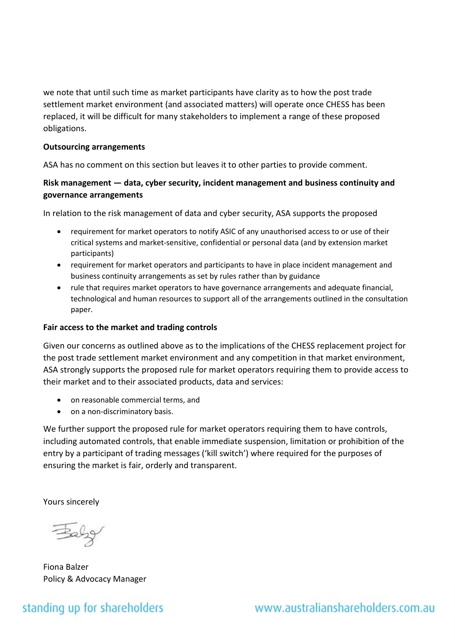we note that until such time as market participants have clarity as to how the post trade settlement market environment (and associated matters) will operate once CHESS has been replaced, it will be difficult for many stakeholders to implement a range of these proposed obligations.

#### **Outsourcing arrangements**

ASA has no comment on this section but leaves it to other parties to provide comment.

### **Risk management — data, cyber security, incident management and business continuity and governance arrangements**

In relation to the risk management of data and cyber security, ASA supports the proposed

- requirement for market operators to notify ASIC of any unauthorised access to or use of their critical systems and market-sensitive, confidential or personal data (and by extension market participants)
- requirement for market operators and participants to have in place incident management and business continuity arrangements as set by rules rather than by guidance
- rule that requires market operators to have governance arrangements and adequate financial, technological and human resources to support all of the arrangements outlined in the consultation paper.

### **Fair access to the market and trading controls**

Given our concerns as outlined above as to the implications of the CHESS replacement project for the post trade settlement market environment and any competition in that market environment, ASA strongly supports the proposed rule for market operators requiring them to provide access to their market and to their associated products, data and services:

- on reasonable commercial terms, and
- on a non-discriminatory basis.

We further support the proposed rule for market operators requiring them to have controls, including automated controls, that enable immediate suspension, limitation or prohibition of the entry by a participant of trading messages ('kill switch') where required for the purposes of ensuring the market is fair, orderly and transparent.

Yours sincerely

Baby

Fiona Balzer Policy & Advocacy Manager

## standing up for shareholders

www.australianshareholders.com.au